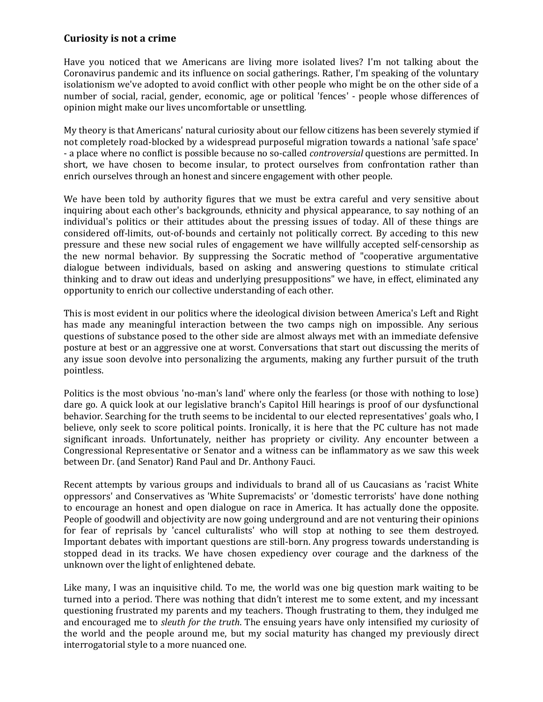## **Curiosity is not a crime**

Have you noticed that we Americans are living more isolated lives? I'm not talking about the Coronavirus pandemic and its influence on social gatherings. Rather, I'm speaking of the voluntary isolationism we've adopted to avoid conflict with other people who might be on the other side of a number of social, racial, gender, economic, age or political 'fences' - people whose differences of opinion might make our lives uncomfortable or unsettling.

My theory is that Americans' natural curiosity about our fellow citizens has been severely stymied if not completely road-blocked by a widespread purposeful migration towards a national 'safe space' - a place where no conflict is possible because no so-called *controversial* questions are permitted. In short, we have chosen to become insular, to protect ourselves from confrontation rather than enrich ourselves through an honest and sincere engagement with other people.

We have been told by authority figures that we must be extra careful and very sensitive about inquiring about each other's backgrounds, ethnicity and physical appearance, to say nothing of an individual's politics or their attitudes about the pressing issues of today. All of these things are considered off-limits, out-of-bounds and certainly not politically correct. By acceding to this new pressure and these new social rules of engagement we have willfully accepted self-censorship as the new normal behavior. By suppressing the Socratic method of "cooperative argumentative dialogue between individuals, based on asking and answering questions to stimulate critical thinking and to draw out ideas and underlying presuppositions" we have, in effect, eliminated any opportunity to enrich our collective understanding of each other.

This is most evident in our politics where the ideological division between America's Left and Right has made any meaningful interaction between the two camps nigh on impossible. Any serious questions of substance posed to the other side are almost always met with an immediate defensive posture at best or an aggressive one at worst. Conversations that start out discussing the merits of any issue soon devolve into personalizing the arguments, making any further pursuit of the truth pointless.

Politics is the most obvious 'no-man's land' where only the fearless (or those with nothing to lose) dare go. A quick look at our legislative branch's Capitol Hill hearings is proof of our dysfunctional behavior. Searching for the truth seems to be incidental to our elected representatives' goals who, I believe, only seek to score political points. Ironically, it is here that the PC culture has not made significant inroads. Unfortunately, neither has propriety or civility. Any encounter between a Congressional Representative or Senator and a witness can be inflammatory as we saw this week between Dr. (and Senator) Rand Paul and Dr. Anthony Fauci.

Recent attempts by various groups and individuals to brand all of us Caucasians as 'racist White oppressors' and Conservatives as 'White Supremacists' or 'domestic terrorists' have done nothing to encourage an honest and open dialogue on race in America. It has actually done the opposite. People of goodwill and objectivity are now going underground and are not venturing their opinions for fear of reprisals by 'cancel culturalists' who will stop at nothing to see them destroyed. Important debates with important questions are still-born. Any progress towards understanding is stopped dead in its tracks. We have chosen expediency over courage and the darkness of the unknown over the light of enlightened debate.

Like many, I was an inquisitive child. To me, the world was one big question mark waiting to be turned into a period. There was nothing that didn't interest me to some extent, and my incessant questioning frustrated my parents and my teachers. Though frustrating to them, they indulged me and encouraged me to *sleuth for the truth*. The ensuing years have only intensified my curiosity of the world and the people around me, but my social maturity has changed my previously direct interrogatorial style to a more nuanced one.